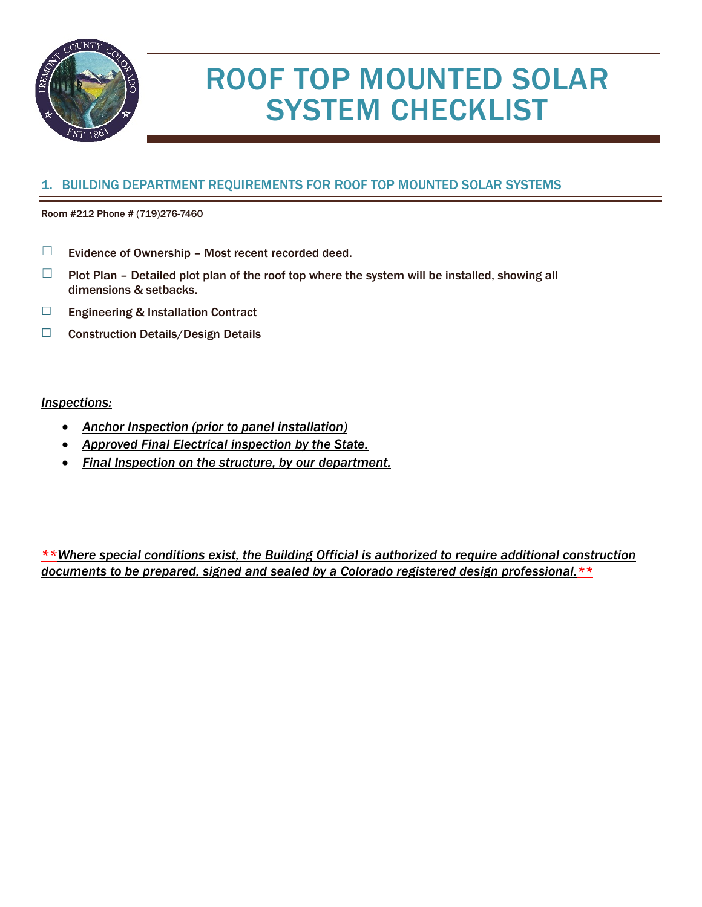

# ROOF TOP MOUNTED SOLAR SYSTEM CHECKLIST

## 1. BUILDING DEPARTMENT REQUIREMENTS FOR ROOF TOP MOUNTED SOLAR SYSTEMS

Room #212 Phone # (719)276-7460

- $\Box$  Evidence of Ownership Most recent recorded deed.
- $\Box$  Plot Plan Detailed plot plan of the roof top where the system will be installed, showing all dimensions & setbacks.
- ☐ Engineering & Installation Contract
- ☐ Construction Details/Design Details

#### *Inspections:*

- *Anchor Inspection (prior to panel installation)*
- *Approved Final Electrical inspection by the State.*
- *Final Inspection on the structure, by our department.*

*\*\*Where special conditions exist, the Building Official is authorized to require additional construction documents to be prepared, signed and sealed by a Colorado registered design professional.\*\**